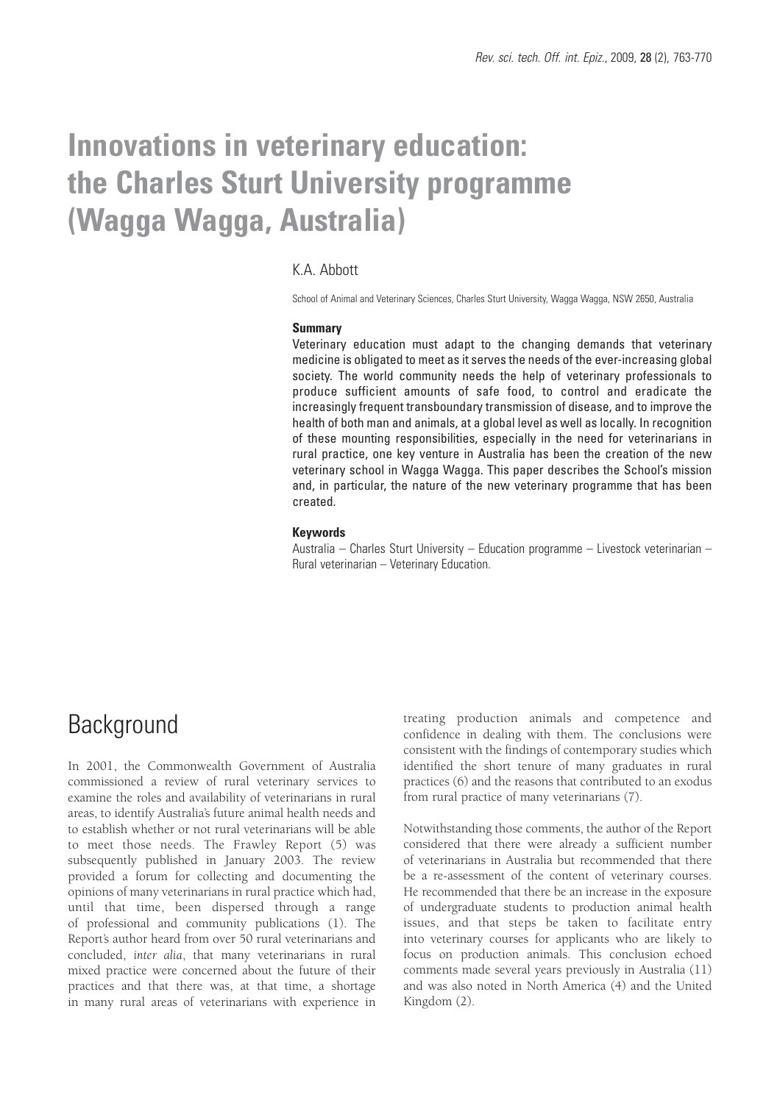# **Innovations in veterinary education: the Charles Sturt University programme (Wagga Wagga, Australia)**

### K.A. Abbott

School of Animal and Veterinary Sciences, Charles Sturt University, Wagga Wagga, NSW 2650, Australia

#### **Summary**

Veterinary education must adapt to the changing demands that veterinary medicine is obligated to meet as it serves the needs of the ever-increasing global society. The world community needs the help of veterinary professionals to produce sufficient amounts of safe food, to control and eradicate the increasingly frequent transboundary transmission of disease, and to improve the health of both man and animals, at a global level as well as locally. In recognition of these mounting responsibilities, especially in the need for veterinarians in rural practice, one key venture in Australia has been the creation of the new veterinary school in Wagga Wagga. This paper describes the School's mission and, in particular, the nature of the new veterinary programme that has been created.

#### **Keywords**

Australia – Charles Sturt University – Education programme – Livestock veterinarian – Rural veterinarian – Veterinary Education.

### **Background**

In 2001, the Commonwealth Government of Australia commissioned a review of rural veterinary services to examine the roles and availability of veterinarians in rural areas, to identify Australia's future animal health needs and to establish whether or not rural veterinarians will be able to meet those needs. The Frawley Report (5) was subsequently published in January 2003. The review provided a forum for collecting and documenting the opinions of many veterinarians in rural practice which had, until that time, been dispersed through a range of professional and community publications (1). The Report's author heard from over 50 rural veterinarians and concluded, *inter alia*, that many veterinarians in rural mixed practice were concerned about the future of their practices and that there was, at that time, a shortage in many rural areas of veterinarians with experience in

treating production animals and competence and confidence in dealing with them. The conclusions were consistent with the findings of contemporary studies which identified the short tenure of many graduates in rural practices (6) and the reasons that contributed to an exodus from rural practice of many veterinarians (7).

Notwithstanding those comments, the author of the Report considered that there were already a sufficient number of veterinarians in Australia but recommended that there be a re-assessment of the content of veterinary courses. He recommended that there be an increase in the exposure of undergraduate students to production animal health issues, and that steps be taken to facilitate entry into veterinary courses for applicants who are likely to focus on production animals. This conclusion echoed comments made several years previously in Australia (11) and was also noted in North America (4) and the United Kingdom (2).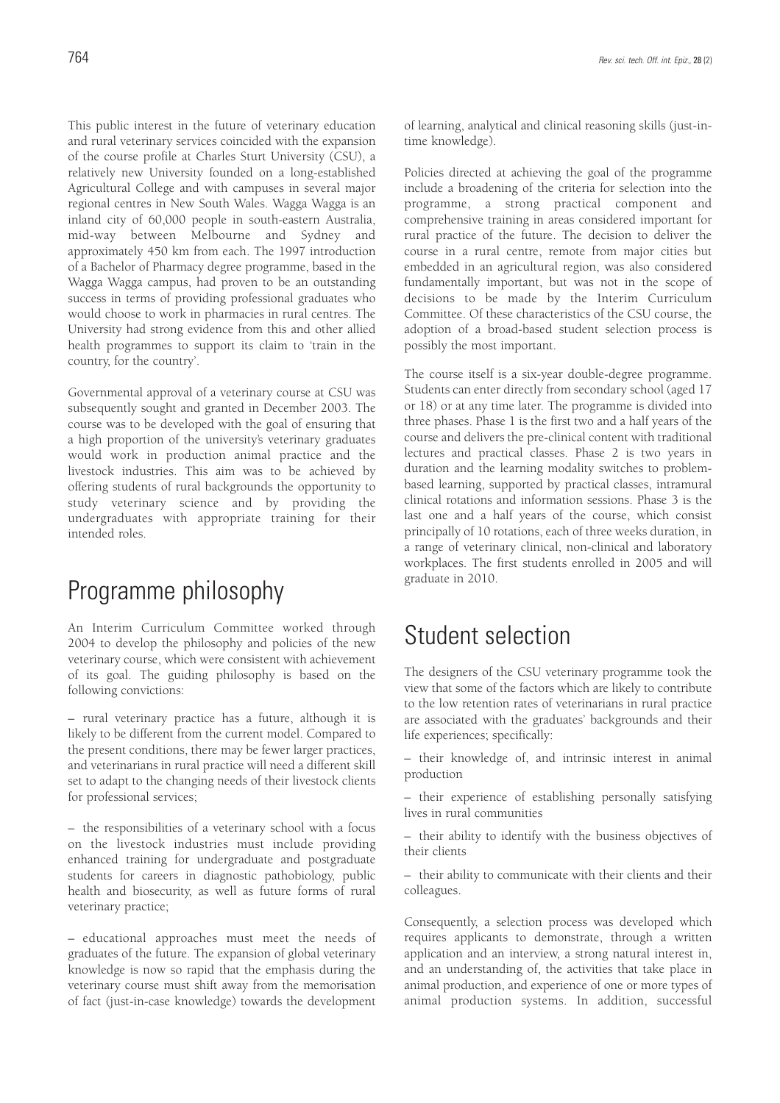This public interest in the future of veterinary education and rural veterinary services coincided with the expansion of the course profile at Charles Sturt University (CSU), a relatively new University founded on a long-established Agricultural College and with campuses in several major regional centres in New South Wales. Wagga Wagga is an inland city of 60,000 people in south-eastern Australia, mid-way between Melbourne and Sydney and approximately 450 km from each. The 1997 introduction of a Bachelor of Pharmacy degree programme, based in the Wagga Wagga campus, had proven to be an outstanding success in terms of providing professional graduates who would choose to work in pharmacies in rural centres. The University had strong evidence from this and other allied health programmes to support its claim to 'train in the country, for the country'.

Governmental approval of a veterinary course at CSU was subsequently sought and granted in December 2003. The course was to be developed with the goal of ensuring that a high proportion of the university's veterinary graduates would work in production animal practice and the livestock industries. This aim was to be achieved by offering students of rural backgrounds the opportunity to study veterinary science and by providing the undergraduates with appropriate training for their intended roles.

# Programme philosophy

An Interim Curriculum Committee worked through 2004 to develop the philosophy and policies of the new veterinary course, which were consistent with achievement of its goal. The guiding philosophy is based on the following convictions:

– rural veterinary practice has a future, although it is likely to be different from the current model. Compared to the present conditions, there may be fewer larger practices, and veterinarians in rural practice will need a different skill set to adapt to the changing needs of their livestock clients for professional services;

– the responsibilities of a veterinary school with a focus on the livestock industries must include providing enhanced training for undergraduate and postgraduate students for careers in diagnostic pathobiology, public health and biosecurity, as well as future forms of rural veterinary practice;

– educational approaches must meet the needs of graduates of the future. The expansion of global veterinary knowledge is now so rapid that the emphasis during the veterinary course must shift away from the memorisation of fact (just-in-case knowledge) towards the development of learning, analytical and clinical reasoning skills (just-intime knowledge).

Policies directed at achieving the goal of the programme include a broadening of the criteria for selection into the programme, a strong practical component and comprehensive training in areas considered important for rural practice of the future. The decision to deliver the course in a rural centre, remote from major cities but embedded in an agricultural region, was also considered fundamentally important, but was not in the scope of decisions to be made by the Interim Curriculum Committee. Of these characteristics of the CSU course, the adoption of a broad-based student selection process is possibly the most important.

The course itself is a six-year double-degree programme. Students can enter directly from secondary school (aged 17 or 18) or at any time later. The programme is divided into three phases. Phase 1 is the first two and a half years of the course and delivers the pre-clinical content with traditional lectures and practical classes. Phase 2 is two years in duration and the learning modality switches to problembased learning, supported by practical classes, intramural clinical rotations and information sessions. Phase 3 is the last one and a half years of the course, which consist principally of 10 rotations, each of three weeks duration, in a range of veterinary clinical, non-clinical and laboratory workplaces. The first students enrolled in 2005 and will graduate in 2010.

## Student selection

The designers of the CSU veterinary programme took the view that some of the factors which are likely to contribute to the low retention rates of veterinarians in rural practice are associated with the graduates' backgrounds and their life experiences; specifically:

– their knowledge of, and intrinsic interest in animal production

– their experience of establishing personally satisfying lives in rural communities

– their ability to identify with the business objectives of their clients

– their ability to communicate with their clients and their colleagues.

Consequently, a selection process was developed which requires applicants to demonstrate, through a written application and an interview, a strong natural interest in, and an understanding of, the activities that take place in animal production, and experience of one or more types of animal production systems. In addition, successful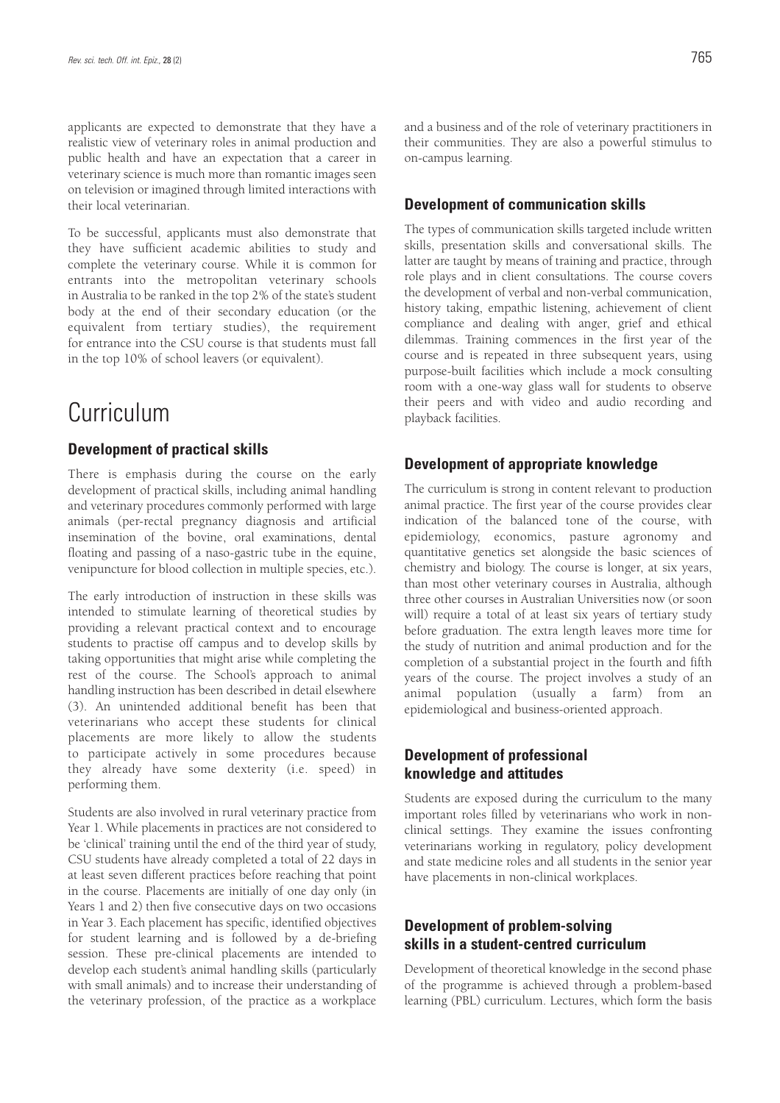applicants are expected to demonstrate that they have a realistic view of veterinary roles in animal production and public health and have an expectation that a career in veterinary science is much more than romantic images seen on television or imagined through limited interactions with their local veterinarian.

To be successful, applicants must also demonstrate that they have sufficient academic abilities to study and complete the veterinary course. While it is common for entrants into the metropolitan veterinary schools in Australia to be ranked in the top 2% of the state's student body at the end of their secondary education (or the equivalent from tertiary studies), the requirement for entrance into the CSU course is that students must fall in the top 10% of school leavers (or equivalent).

### Curriculum

#### **Development of practical skills**

There is emphasis during the course on the early development of practical skills, including animal handling and veterinary procedures commonly performed with large animals (per-rectal pregnancy diagnosis and artificial insemination of the bovine, oral examinations, dental floating and passing of a naso-gastric tube in the equine, venipuncture for blood collection in multiple species, etc.).

The early introduction of instruction in these skills was intended to stimulate learning of theoretical studies by providing a relevant practical context and to encourage students to practise off campus and to develop skills by taking opportunities that might arise while completing the rest of the course. The School's approach to animal handling instruction has been described in detail elsewhere (3). An unintended additional benefit has been that veterinarians who accept these students for clinical placements are more likely to allow the students to participate actively in some procedures because they already have some dexterity (i.e. speed) in performing them.

Students are also involved in rural veterinary practice from Year 1. While placements in practices are not considered to be 'clinical' training until the end of the third year of study, CSU students have already completed a total of 22 days in at least seven different practices before reaching that point in the course. Placements are initially of one day only (in Years 1 and 2) then five consecutive days on two occasions in Year 3. Each placement has specific, identified objectives for student learning and is followed by a de-briefing session. These pre-clinical placements are intended to develop each student's animal handling skills (particularly with small animals) and to increase their understanding of the veterinary profession, of the practice as a workplace

and a business and of the role of veterinary practitioners in their communities. They are also a powerful stimulus to on-campus learning.

#### **Development of communication skills**

The types of communication skills targeted include written skills, presentation skills and conversational skills. The latter are taught by means of training and practice, through role plays and in client consultations. The course covers the development of verbal and non-verbal communication, history taking, empathic listening, achievement of client compliance and dealing with anger, grief and ethical dilemmas. Training commences in the first year of the course and is repeated in three subsequent years, using purpose-built facilities which include a mock consulting room with a one-way glass wall for students to observe their peers and with video and audio recording and playback facilities.

#### **Development of appropriate knowledge**

The curriculum is strong in content relevant to production animal practice. The first year of the course provides clear indication of the balanced tone of the course, with epidemiology, economics, pasture agronomy and quantitative genetics set alongside the basic sciences of chemistry and biology. The course is longer, at six years, than most other veterinary courses in Australia, although three other courses in Australian Universities now (or soon will) require a total of at least six years of tertiary study before graduation. The extra length leaves more time for the study of nutrition and animal production and for the completion of a substantial project in the fourth and fifth years of the course. The project involves a study of an animal population (usually a farm) from an epidemiological and business-oriented approach.

### **Development of professional knowledge and attitudes**

Students are exposed during the curriculum to the many important roles filled by veterinarians who work in nonclinical settings. They examine the issues confronting veterinarians working in regulatory, policy development and state medicine roles and all students in the senior year have placements in non-clinical workplaces.

### **Development of problem-solving skills in a student-centred curriculum**

Development of theoretical knowledge in the second phase of the programme is achieved through a problem-based learning (PBL) curriculum. Lectures, which form the basis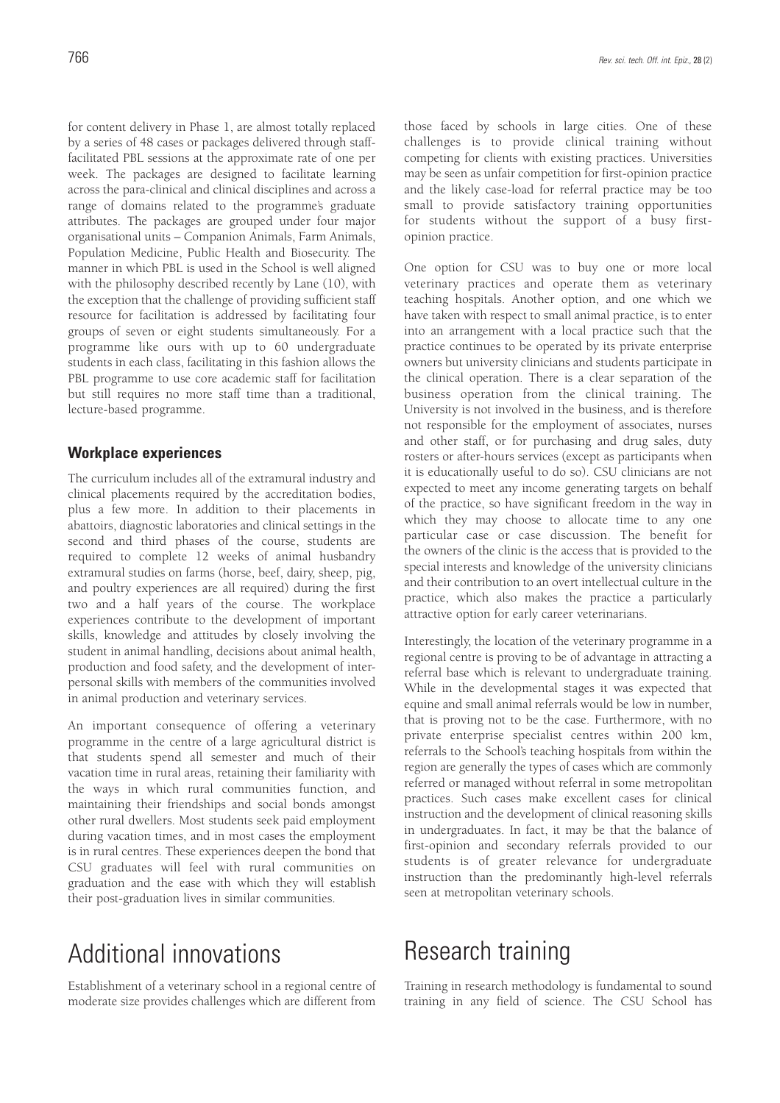for content delivery in Phase 1, are almost totally replaced by a series of 48 cases or packages delivered through stafffacilitated PBL sessions at the approximate rate of one per week. The packages are designed to facilitate learning across the para-clinical and clinical disciplines and across a range of domains related to the programme's graduate attributes. The packages are grouped under four major organisational units – Companion Animals, Farm Animals, Population Medicine, Public Health and Biosecurity. The manner in which PBL is used in the School is well aligned with the philosophy described recently by Lane (10), with the exception that the challenge of providing sufficient staff resource for facilitation is addressed by facilitating four groups of seven or eight students simultaneously. For a programme like ours with up to 60 undergraduate students in each class, facilitating in this fashion allows the PBL programme to use core academic staff for facilitation but still requires no more staff time than a traditional, lecture-based programme.

### **Workplace experiences**

The curriculum includes all of the extramural industry and clinical placements required by the accreditation bodies, plus a few more. In addition to their placements in abattoirs, diagnostic laboratories and clinical settings in the second and third phases of the course, students are required to complete 12 weeks of animal husbandry extramural studies on farms (horse, beef, dairy, sheep, pig, and poultry experiences are all required) during the first two and a half years of the course. The workplace experiences contribute to the development of important skills, knowledge and attitudes by closely involving the student in animal handling, decisions about animal health, production and food safety, and the development of interpersonal skills with members of the communities involved in animal production and veterinary services.

An important consequence of offering a veterinary programme in the centre of a large agricultural district is that students spend all semester and much of their vacation time in rural areas, retaining their familiarity with the ways in which rural communities function, and maintaining their friendships and social bonds amongst other rural dwellers. Most students seek paid employment during vacation times, and in most cases the employment is in rural centres. These experiences deepen the bond that CSU graduates will feel with rural communities on graduation and the ease with which they will establish their post-graduation lives in similar communities.

# Additional innovations

Establishment of a veterinary school in a regional centre of moderate size provides challenges which are different from those faced by schools in large cities. One of these challenges is to provide clinical training without competing for clients with existing practices. Universities may be seen as unfair competition for first-opinion practice and the likely case-load for referral practice may be too small to provide satisfactory training opportunities for students without the support of a busy firstopinion practice.

One option for CSU was to buy one or more local veterinary practices and operate them as veterinary teaching hospitals. Another option, and one which we have taken with respect to small animal practice, is to enter into an arrangement with a local practice such that the practice continues to be operated by its private enterprise owners but university clinicians and students participate in the clinical operation. There is a clear separation of the business operation from the clinical training. The University is not involved in the business, and is therefore not responsible for the employment of associates, nurses and other staff, or for purchasing and drug sales, duty rosters or after-hours services (except as participants when it is educationally useful to do so). CSU clinicians are not expected to meet any income generating targets on behalf of the practice, so have significant freedom in the way in which they may choose to allocate time to any one particular case or case discussion. The benefit for the owners of the clinic is the access that is provided to the special interests and knowledge of the university clinicians and their contribution to an overt intellectual culture in the practice, which also makes the practice a particularly attractive option for early career veterinarians.

Interestingly, the location of the veterinary programme in a regional centre is proving to be of advantage in attracting a referral base which is relevant to undergraduate training. While in the developmental stages it was expected that equine and small animal referrals would be low in number, that is proving not to be the case. Furthermore, with no private enterprise specialist centres within 200 km, referrals to the School's teaching hospitals from within the region are generally the types of cases which are commonly referred or managed without referral in some metropolitan practices. Such cases make excellent cases for clinical instruction and the development of clinical reasoning skills in undergraduates. In fact, it may be that the balance of first-opinion and secondary referrals provided to our students is of greater relevance for undergraduate instruction than the predominantly high-level referrals seen at metropolitan veterinary schools.

## Research training

Training in research methodology is fundamental to sound training in any field of science. The CSU School has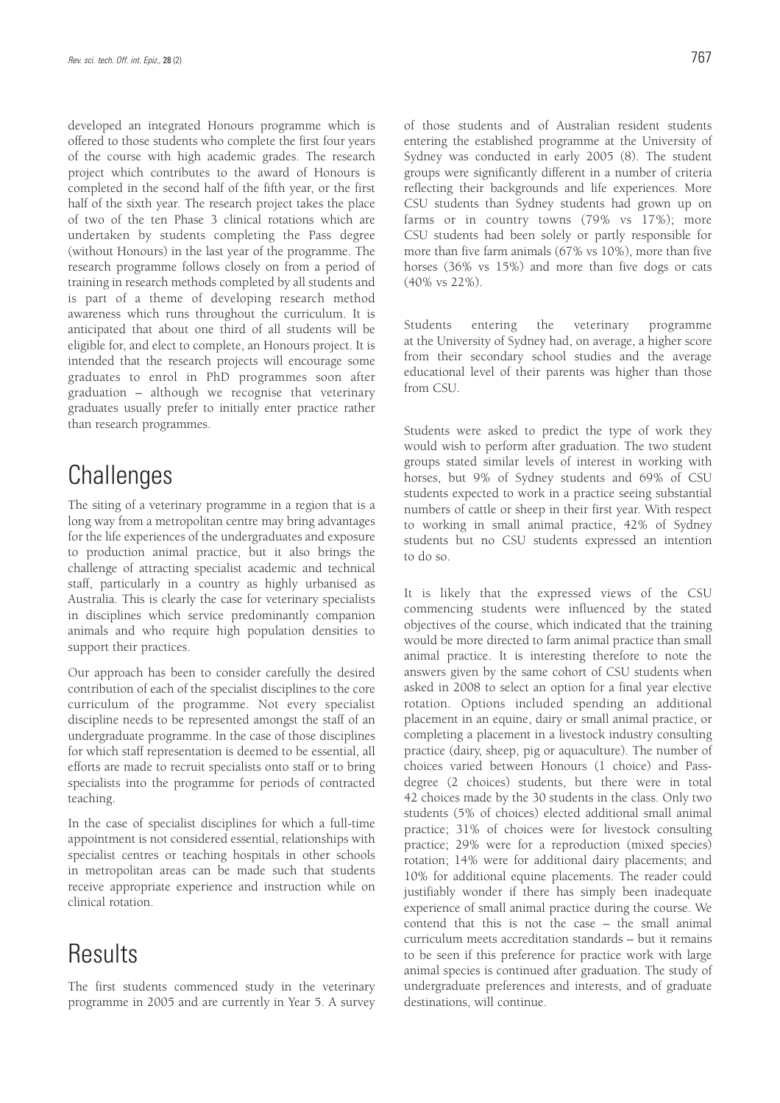developed an integrated Honours programme which is offered to those students who complete the first four years of the course with high academic grades. The research project which contributes to the award of Honours is completed in the second half of the fifth year, or the first half of the sixth year. The research project takes the place of two of the ten Phase 3 clinical rotations which are undertaken by students completing the Pass degree (without Honours) in the last year of the programme. The research programme follows closely on from a period of training in research methods completed by all students and is part of a theme of developing research method awareness which runs throughout the curriculum. It is anticipated that about one third of all students will be eligible for, and elect to complete, an Honours project. It is intended that the research projects will encourage some graduates to enrol in PhD programmes soon after graduation – although we recognise that veterinary graduates usually prefer to initially enter practice rather than research programmes.

# **Challenges**

The siting of a veterinary programme in a region that is a long way from a metropolitan centre may bring advantages for the life experiences of the undergraduates and exposure to production animal practice, but it also brings the challenge of attracting specialist academic and technical staff, particularly in a country as highly urbanised as Australia. This is clearly the case for veterinary specialists in disciplines which service predominantly companion animals and who require high population densities to support their practices.

Our approach has been to consider carefully the desired contribution of each of the specialist disciplines to the core curriculum of the programme. Not every specialist discipline needs to be represented amongst the staff of an undergraduate programme. In the case of those disciplines for which staff representation is deemed to be essential, all efforts are made to recruit specialists onto staff or to bring specialists into the programme for periods of contracted teaching.

In the case of specialist disciplines for which a full-time appointment is not considered essential, relationships with specialist centres or teaching hospitals in other schools in metropolitan areas can be made such that students receive appropriate experience and instruction while on clinical rotation.

### **Results**

The first students commenced study in the veterinary programme in 2005 and are currently in Year 5. A survey of those students and of Australian resident students entering the established programme at the University of Sydney was conducted in early 2005 (8). The student groups were significantly different in a number of criteria reflecting their backgrounds and life experiences. More CSU students than Sydney students had grown up on farms or in country towns (79% vs 17%); more CSU students had been solely or partly responsible for more than five farm animals (67% vs 10%), more than five horses (36% vs 15%) and more than five dogs or cats (40% vs 22%).

Students entering the veterinary programme at the University of Sydney had, on average, a higher score from their secondary school studies and the average educational level of their parents was higher than those from CSU.

Students were asked to predict the type of work they would wish to perform after graduation. The two student groups stated similar levels of interest in working with horses, but 9% of Sydney students and 69% of CSU students expected to work in a practice seeing substantial numbers of cattle or sheep in their first year. With respect to working in small animal practice, 42% of Sydney students but no CSU students expressed an intention to do so.

It is likely that the expressed views of the CSU commencing students were influenced by the stated objectives of the course, which indicated that the training would be more directed to farm animal practice than small animal practice. It is interesting therefore to note the answers given by the same cohort of CSU students when asked in 2008 to select an option for a final year elective rotation. Options included spending an additional placement in an equine, dairy or small animal practice, or completing a placement in a livestock industry consulting practice (dairy, sheep, pig or aquaculture). The number of choices varied between Honours (1 choice) and Passdegree (2 choices) students, but there were in total 42 choices made by the 30 students in the class. Only two students (5% of choices) elected additional small animal practice; 31% of choices were for livestock consulting practice; 29% were for a reproduction (mixed species) rotation; 14% were for additional dairy placements; and 10% for additional equine placements. The reader could justifiably wonder if there has simply been inadequate experience of small animal practice during the course. We contend that this is not the case – the small animal curriculum meets accreditation standards – but it remains to be seen if this preference for practice work with large animal species is continued after graduation. The study of undergraduate preferences and interests, and of graduate destinations, will continue.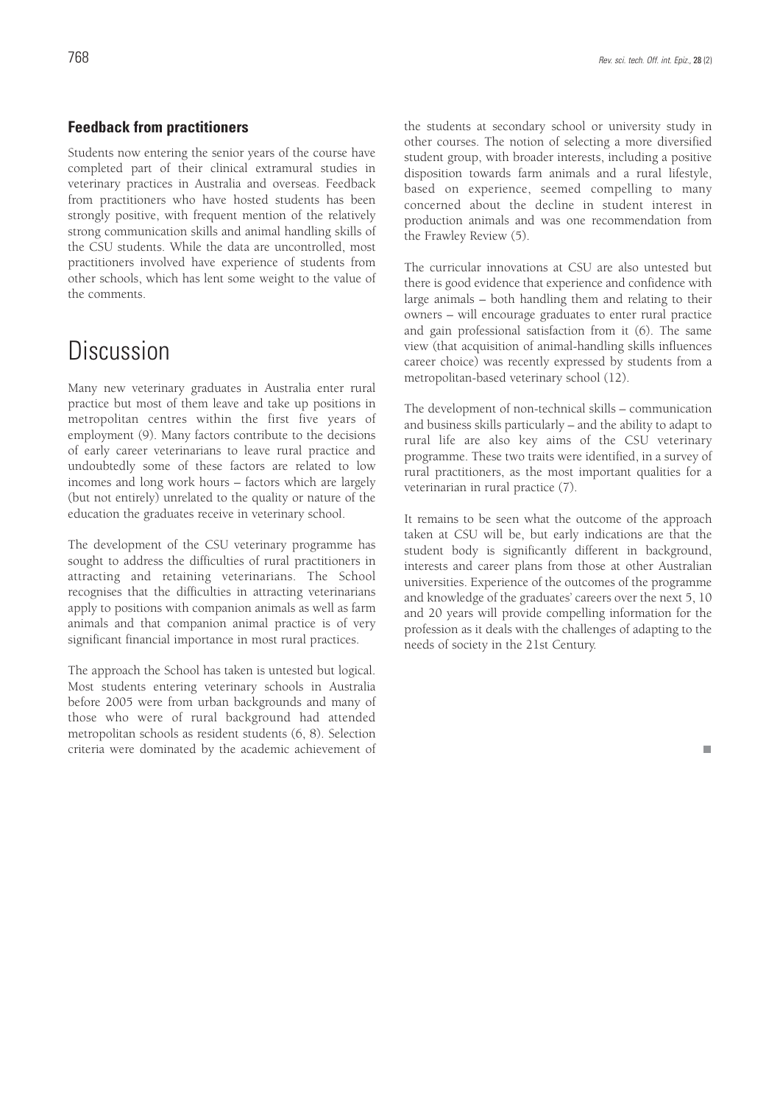#### **Feedback from practitioners**

Students now entering the senior years of the course have completed part of their clinical extramural studies in veterinary practices in Australia and overseas. Feedback from practitioners who have hosted students has been strongly positive, with frequent mention of the relatively strong communication skills and animal handling skills of the CSU students. While the data are uncontrolled, most practitioners involved have experience of students from other schools, which has lent some weight to the value of the comments.

### Discussion

Many new veterinary graduates in Australia enter rural practice but most of them leave and take up positions in metropolitan centres within the first five years of employment (9). Many factors contribute to the decisions of early career veterinarians to leave rural practice and undoubtedly some of these factors are related to low incomes and long work hours – factors which are largely (but not entirely) unrelated to the quality or nature of the education the graduates receive in veterinary school.

The development of the CSU veterinary programme has sought to address the difficulties of rural practitioners in attracting and retaining veterinarians. The School recognises that the difficulties in attracting veterinarians apply to positions with companion animals as well as farm animals and that companion animal practice is of very significant financial importance in most rural practices.

The approach the School has taken is untested but logical. Most students entering veterinary schools in Australia before 2005 were from urban backgrounds and many of those who were of rural background had attended metropolitan schools as resident students (6, 8). Selection criteria were dominated by the academic achievement of the students at secondary school or university study in other courses. The notion of selecting a more diversified student group, with broader interests, including a positive disposition towards farm animals and a rural lifestyle, based on experience, seemed compelling to many concerned about the decline in student interest in production animals and was one recommendation from the Frawley Review (5).

The curricular innovations at CSU are also untested but there is good evidence that experience and confidence with large animals – both handling them and relating to their owners – will encourage graduates to enter rural practice and gain professional satisfaction from it (6). The same view (that acquisition of animal-handling skills influences career choice) was recently expressed by students from a metropolitan-based veterinary school (12).

The development of non-technical skills – communication and business skills particularly – and the ability to adapt to rural life are also key aims of the CSU veterinary programme. These two traits were identified, in a survey of rural practitioners, as the most important qualities for a veterinarian in rural practice (7).

It remains to be seen what the outcome of the approach taken at CSU will be, but early indications are that the student body is significantly different in background, interests and career plans from those at other Australian universities. Experience of the outcomes of the programme and knowledge of the graduates' careers over the next 5, 10 and 20 years will provide compelling information for the profession as it deals with the challenges of adapting to the needs of society in the 21st Century.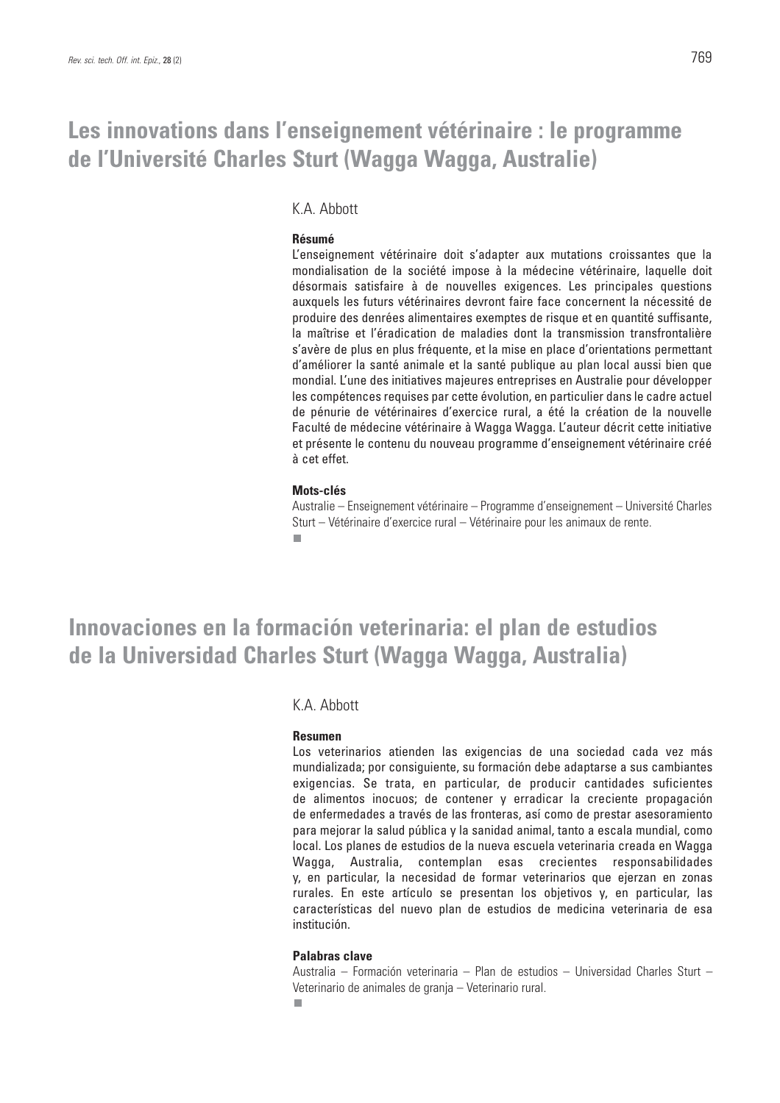# **Les innovations dans l'enseignement vétérinaire : le programme de l'Université Charles Sturt (Wagga Wagga, Australie)**

### K.A. Abbott

#### **Résumé**

L'enseignement vétérinaire doit s'adapter aux mutations croissantes que la mondialisation de la société impose à la médecine vétérinaire, laquelle doit désormais satisfaire à de nouvelles exigences. Les principales questions auxquels les futurs vétérinaires devront faire face concernent la nécessité de produire des denrées alimentaires exemptes de risque et en quantité suffisante, la maîtrise et l'éradication de maladies dont la transmission transfrontalière s'avère de plus en plus fréquente, et la mise en place d'orientations permettant d'améliorer la santé animale et la santé publique au plan local aussi bien que mondial. L'une des initiatives majeures entreprises en Australie pour développer les compétences requises par cette évolution, en particulier dans le cadre actuel de pénurie de vétérinaires d'exercice rural, a été la création de la nouvelle Faculté de médecine vétérinaire à Wagga Wagga. L'auteur décrit cette initiative et présente le contenu du nouveau programme d'enseignement vétérinaire créé à cet effet.

#### **Mots-clés**

Australie – Enseignement vétérinaire – Programme d'enseignement – Université Charles Sturt – Vétérinaire d'exercice rural – Vétérinaire pour les animaux de rente. r.

**Innovaciones en la formación veterinaria: el plan de estudios de la Universidad Charles Sturt (Wagga Wagga, Australia)**

### K.A. Abbott

#### **Resumen**

Los veterinarios atienden las exigencias de una sociedad cada vez más mundializada; por consiguiente, su formación debe adaptarse a sus cambiantes exigencias. Se trata, en particular, de producir cantidades suficientes de alimentos inocuos; de contener y erradicar la creciente propagación de enfermedades a través de las fronteras, así como de prestar asesoramiento para mejorar la salud pública y la sanidad animal, tanto a escala mundial, como local. Los planes de estudios de la nueva escuela veterinaria creada en Wagga Wagga, Australia, contemplan esas crecientes responsabilidades y, en particular, la necesidad de formar veterinarios que ejerzan en zonas rurales. En este artículo se presentan los objetivos y, en particular, las características del nuevo plan de estudios de medicina veterinaria de esa institución.

#### **Palabras clave**

Australia – Formación veterinaria – Plan de estudios – Universidad Charles Sturt – Veterinario de animales de granja – Veterinario rural. $\blacksquare$